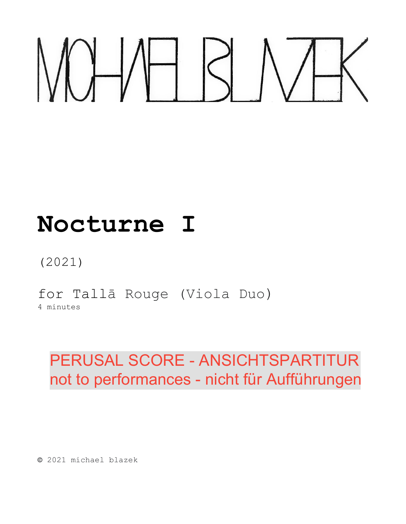# **Nocturne I**

# (2021)

for Tallā Rouge (Viola Duo)

4 minutes

# PERUSAL SCORE - ANSICHTSPARTITUR not to performances - nicht für Aufführungen

**©** 2021 michael blazek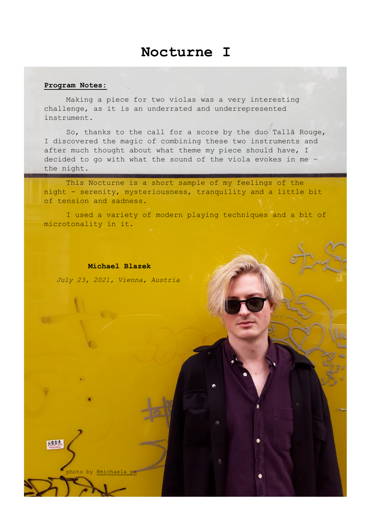## **Nocturne I**

#### **Program Notes:**

Making a piece for two violas was a very interesting challenge, as it is an underrated and underrepresented instrument.

So, thanks to the call for a score by the duo Tallā Rouge, I discovered the magic of combining these two instruments and after much thought about what theme my piece should have, I decided to go with what the sound of the viola evokes in me – the night.

This Nocturne is a short sample of my feelings of the night - serenity, mysteriousness, tranquility and a little bit of tension and sadness.

I used a variety of modern playing techniques and a bit of microtonality in it.

**Michael Blazek**

 *July 23, 2021, Vienna, Austria*

photo by @michael

C

热情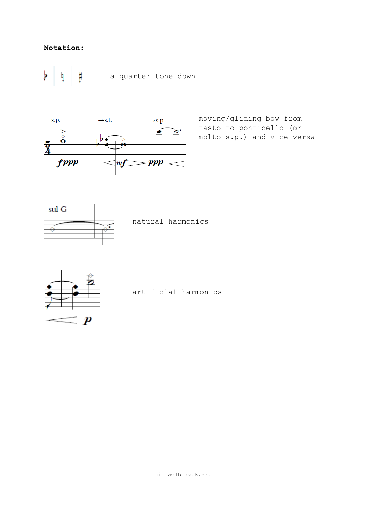#### **Notation:**

þ ŧ ł a quarter tone down



moving/gliding bow from tasto to ponticello (or molto s.p.) and vice versa



natural harmonics



artificial harmonics

[michaelblazek.art](https://michaelblazek.art/)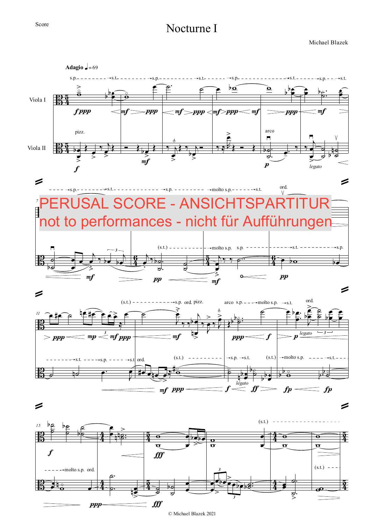#### Score

### Nocturne I

Michael Blazek



© Michael Blazek 2021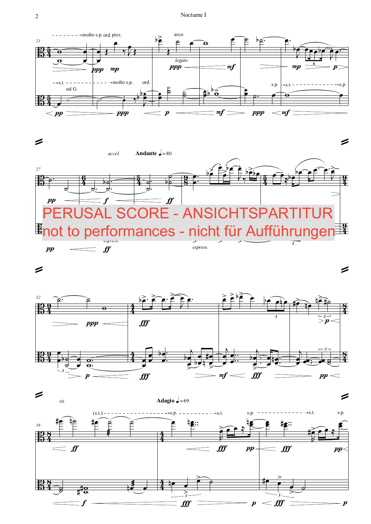



 $\boldsymbol{pp}$ 

 $\boldsymbol{f}$ 



*3*



*espress.*